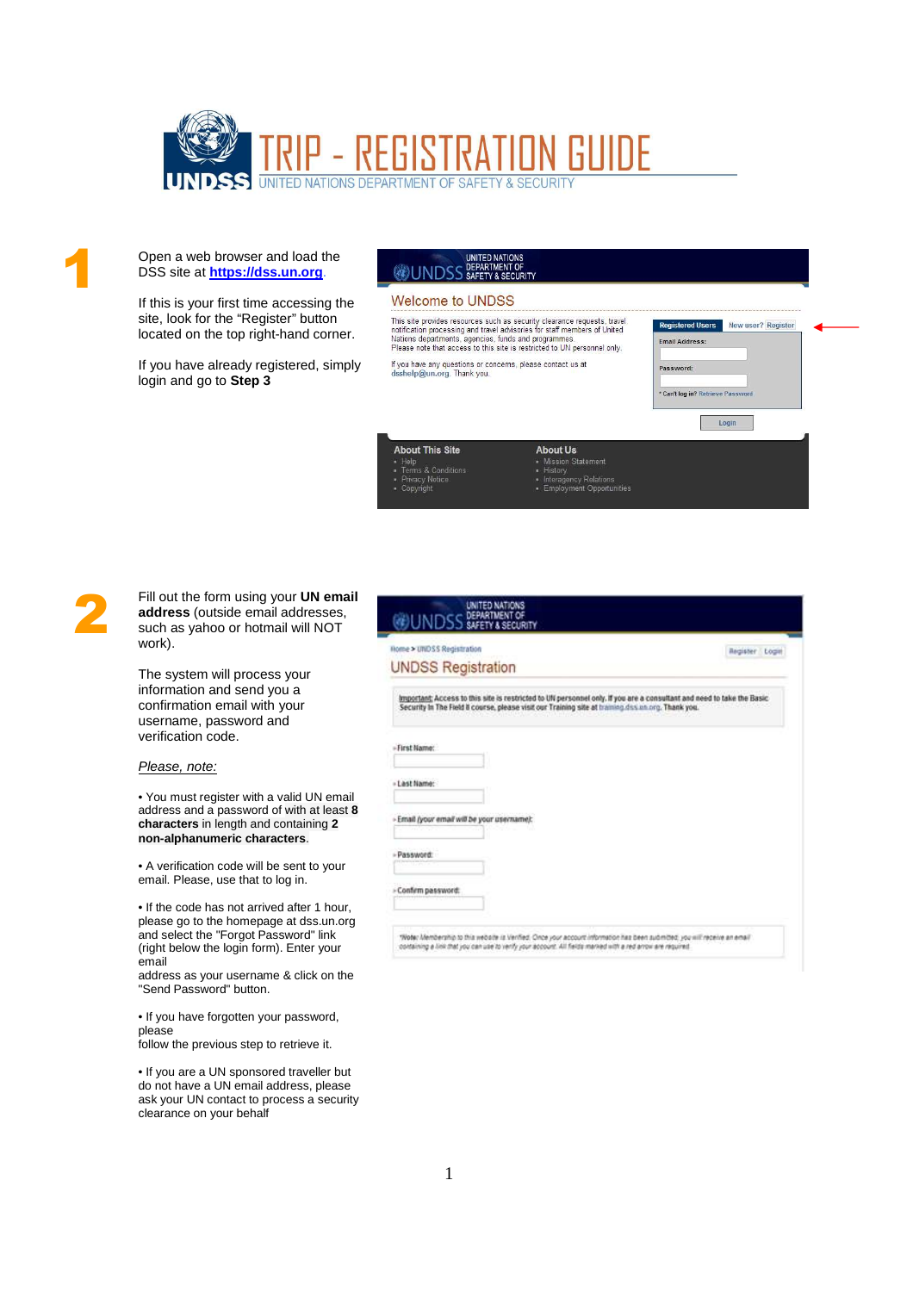

Open a web browser and load the DSS site at **https://dss.un.org**.

If this is your first time accessing the site, look for the "Register" button located on the top right-hand corner.

If you have already registered, simply login and go to **Step 3**

## UNITED NATIONS<br>DEPARTMENT OF<br>SAFETY & SECURITY **@UNDSS**

## **Welcome to UNDSS**

**About This Site** 

Tierp<br>Terms & Condition<br>Privacy Notice

This site provides resources such as security clearance requests, travel<br>notification processing and travel advisories for staff members of United<br>Nations departments, agencies, funds and programmes.<br>Please note that acces

**About Lis** Mission<br>History

- History<br>• History<br>• Employment Opportunities

lf you have any questions or concerns, please contact us at<br>dsshelp@un.org. Thank you.

| <b>Registered Users</b>           | New user? Register |
|-----------------------------------|--------------------|
| <b>Email Address:</b>             |                    |
| Password:                         |                    |
| * Can't log in? Retrieve Password |                    |

1

Fill out the form using your **UN email address** (outside email addresses, such as yahoo or hotmail will NOT work).

The system will process your information and send you a confirmation email with your username, password and verification code.

## Please, note:

• You must register with a valid UN email address and a password of with at least **8 characters** in length and containing **2 non-alphanumeric characters**.

• A verification code will be sent to your email. Please, use that to log in.

• If the code has not arrived after 1 hour, please go to the homepage at dss.un.org and select the "Forgot Password" link (right below the login form). Enter your email

address as your username & click on the "Send Password" button.

• If you have forgotten your password, please

follow the previous step to retrieve it.

• If you are a UN sponsored traveller but do not have a UN email address, please ask your UN contact to process a security clearance on your behalf

|                                                                                                                                                                                                                            | Register Login |
|----------------------------------------------------------------------------------------------------------------------------------------------------------------------------------------------------------------------------|----------------|
| <b>UNDSS Registration</b>                                                                                                                                                                                                  |                |
| Important; Access to this site is restricted to UN personnel only. If you are a consultant and need to take the Basic<br>Security In The Field 8 course, please visit our Training site at training design ong. Thank you. |                |
| » First Name:                                                                                                                                                                                                              |                |
| « Last Name:                                                                                                                                                                                                               |                |
| - Email (your email will be your username):                                                                                                                                                                                |                |
| - Password:                                                                                                                                                                                                                |                |
| - Confirm password:                                                                                                                                                                                                        |                |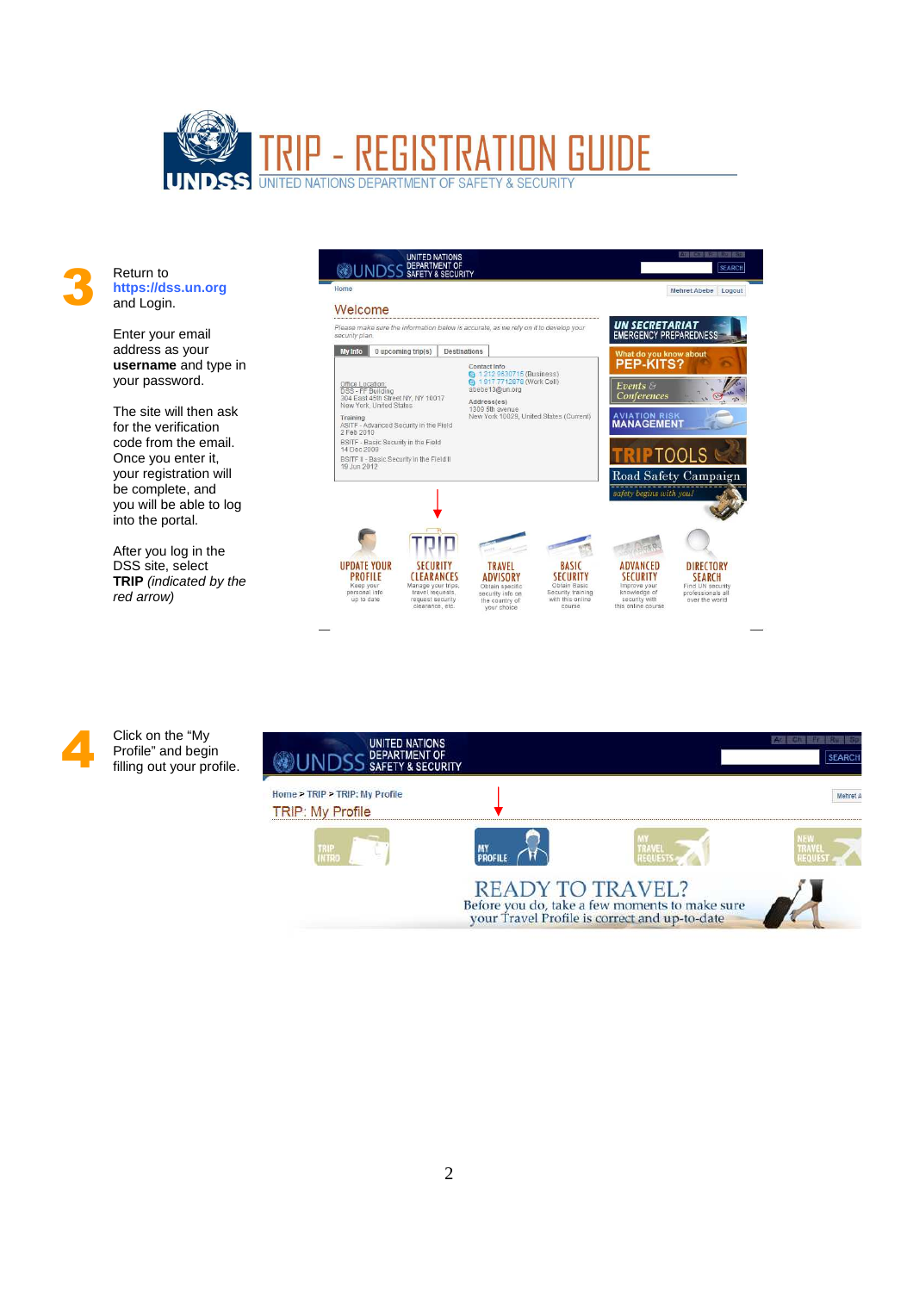

3 Return to **https://dss.un.org** and Login.

> Enter your email address as your **username** and type in your password.

> The site will then ask for the verification code from the email. Once you enter it, your registration will be complete, and you will be able to log into the portal.

> After you log in the DSS site, select **TRIP** (indicated by the red arrow)





Click on the "My Profile" and begin filling out your profile.